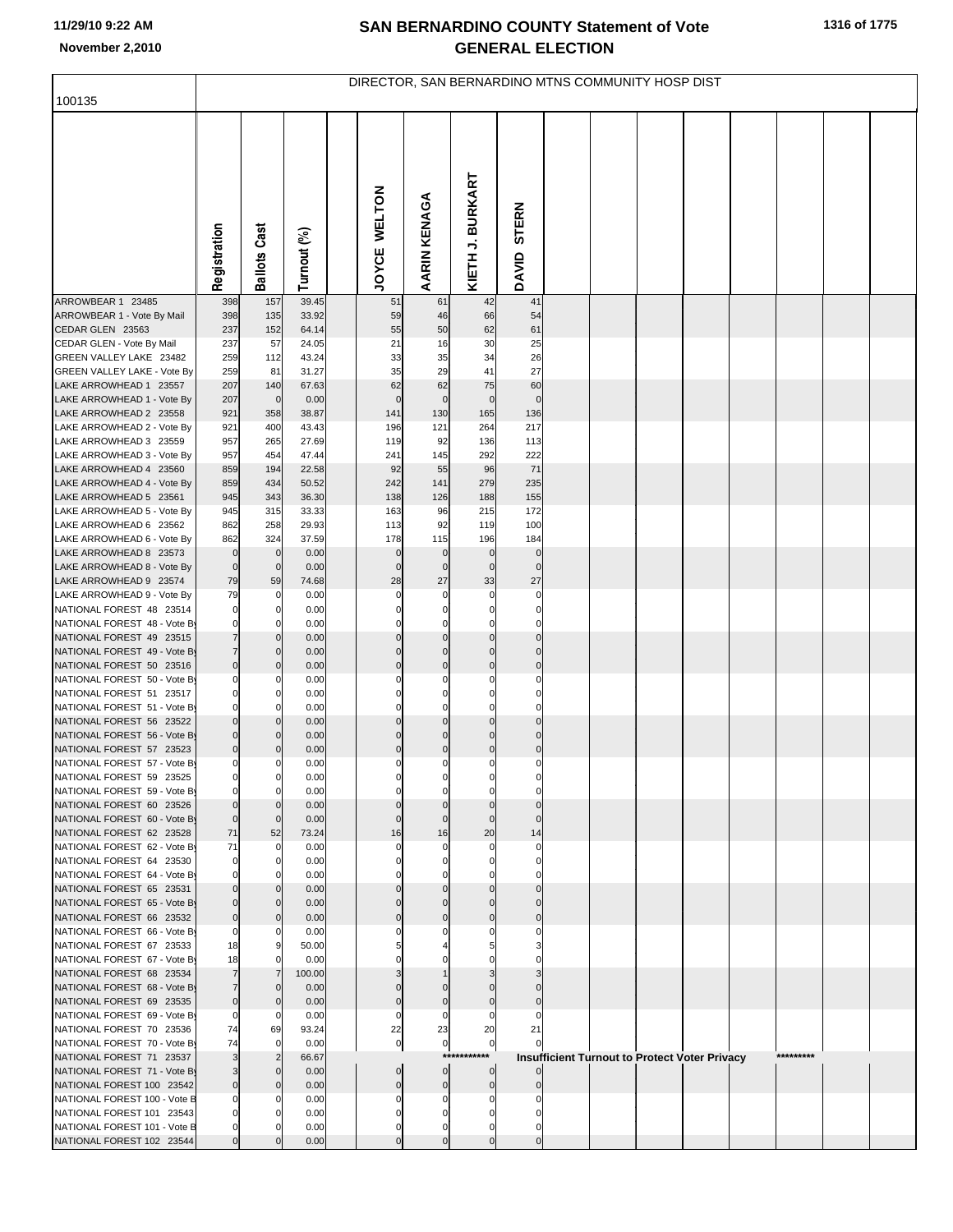## **SAN BERNARDINO COUNTY Statement of Vote November 2,2010 GENERAL ELECTION**

| 100135                                                    |                               |                               |                | DIRECTOR, SAN BERNARDINO MTNS COMMUNITY HOSP DIST |                            |                  |                            |  |                                               |           |  |
|-----------------------------------------------------------|-------------------------------|-------------------------------|----------------|---------------------------------------------------|----------------------------|------------------|----------------------------|--|-----------------------------------------------|-----------|--|
|                                                           |                               |                               |                |                                                   |                            |                  |                            |  |                                               |           |  |
|                                                           |                               |                               |                |                                                   |                            |                  |                            |  |                                               |           |  |
|                                                           |                               |                               |                |                                                   |                            |                  |                            |  |                                               |           |  |
|                                                           |                               |                               |                |                                                   |                            |                  |                            |  |                                               |           |  |
|                                                           |                               |                               |                |                                                   |                            |                  |                            |  |                                               |           |  |
|                                                           |                               |                               |                |                                                   |                            |                  |                            |  |                                               |           |  |
|                                                           |                               |                               |                |                                                   |                            |                  | <b>STERN</b>               |  |                                               |           |  |
|                                                           |                               |                               |                |                                                   |                            |                  |                            |  |                                               |           |  |
|                                                           | Registration                  | <b>Ballots Cast</b>           | Turnout (%)    | JOYCE WELTON                                      | <b>AARIN KENAGA</b>        | KIETH J. BURKART | DAVID                      |  |                                               |           |  |
|                                                           |                               |                               |                |                                                   |                            |                  |                            |  |                                               |           |  |
| ARROWBEAR 1 23485                                         | 398                           | 157                           | 39.45          | 51                                                | 61                         | 42               | 41                         |  |                                               |           |  |
| ARROWBEAR 1 - Vote By Mail<br>CEDAR GLEN 23563            | 398<br>237                    | 135<br>152                    | 33.92<br>64.14 | 59<br>55                                          | 46<br>50                   | 66<br>62         | 54<br>61                   |  |                                               |           |  |
| CEDAR GLEN - Vote By Mail                                 | 237                           | 57                            | 24.05          | 21                                                | 16                         | 30               | 25                         |  |                                               |           |  |
| GREEN VALLEY LAKE 23482                                   | 259                           | 112                           | 43.24          | 33                                                | 35                         | 34               | 26                         |  |                                               |           |  |
| GREEN VALLEY LAKE - Vote By<br>LAKE ARROWHEAD 1 23557     | 259<br>207                    | 81                            | 31.27          | 35<br>62                                          | 29<br>62                   | 41<br>75         | 27                         |  |                                               |           |  |
| LAKE ARROWHEAD 1 - Vote By                                | 207                           | 140<br>$\mathbf 0$            | 67.63<br>0.00  | $\mathbf 0$                                       | $\mathbf 0$                | $\mathbf 0$      | 60<br>$\mathsf{C}$         |  |                                               |           |  |
| LAKE ARROWHEAD 2 23558                                    | 921                           | 358                           | 38.87          | 141                                               | 130                        | 165              | 136                        |  |                                               |           |  |
| LAKE ARROWHEAD 2 - Vote By                                | 921                           | 400                           | 43.43          | 196                                               | 121                        | 264              | 217                        |  |                                               |           |  |
| LAKE ARROWHEAD 3 23559<br>LAKE ARROWHEAD 3 - Vote By      | 957<br>957                    | 265<br>454                    | 27.69<br>47.44 | 119<br>241                                        | 92<br>145                  | 136<br>292       | 113<br>222                 |  |                                               |           |  |
| LAKE ARROWHEAD 4 23560                                    | 859                           | 194                           | 22.58          | 92                                                | 55                         | 96               | 71                         |  |                                               |           |  |
| LAKE ARROWHEAD 4 - Vote By                                | 859                           | 434                           | 50.52          | 242                                               | 141                        | 279              | 235                        |  |                                               |           |  |
| LAKE ARROWHEAD 5 23561<br>LAKE ARROWHEAD 5 - Vote By      | 945<br>945                    | 343<br>315                    | 36.30<br>33.33 | 138<br>163                                        | 126<br>96                  | 188<br>215       | 155<br>172                 |  |                                               |           |  |
| LAKE ARROWHEAD 6 23562                                    | 862                           | 258                           | 29.93          | 113                                               | 92                         | 119              | 100                        |  |                                               |           |  |
| LAKE ARROWHEAD 6 - Vote By                                | 862                           | 324                           | 37.59          | 178                                               | 115                        | 196              | 184                        |  |                                               |           |  |
| LAKE ARROWHEAD 8 23573<br>LAKE ARROWHEAD 8 - Vote By      | $\mathbf 0$<br>$\mathbf 0$    | $\mathbf 0$<br>$\mathbf 0$    | 0.00<br>0.00   | $\mathbf 0$<br>$\mathbf 0$                        | $\mathbf 0$<br>$\mathbf 0$ | 0<br>$\mathbf 0$ | $\mathbf 0$<br>$\mathbf 0$ |  |                                               |           |  |
| LAKE ARROWHEAD 9 23574                                    | 79                            | 59                            | 74.68          | 28                                                | 27                         | 33               | 27                         |  |                                               |           |  |
| LAKE ARROWHEAD 9 - Vote By                                | 79                            | 0                             | 0.00           | 0                                                 | 0                          | $\mathbf 0$      | C                          |  |                                               |           |  |
| NATIONAL FOREST 48 23514<br>NATIONAL FOREST 48 - Vote By  | $\mathbf 0$<br>0              | 0<br>0                        | 0.00<br>0.00   |                                                   | $\Omega$<br>$\Omega$       | 0<br>0           |                            |  |                                               |           |  |
| NATIONAL FOREST 49 23515                                  | $\overline{7}$                | $\mathbf 0$                   | 0.00           |                                                   |                            |                  |                            |  |                                               |           |  |
| NATIONAL FOREST 49 - Vote By                              | $\overline{7}$                | $\mathbf 0$                   | 0.00           | $\Omega$                                          | $\Omega$                   | $\Omega$         |                            |  |                                               |           |  |
| NATIONAL FOREST 50 23516<br>NATIONAL FOREST 50 - Vote B   | $\overline{0}$<br>0           | $\mathbf 0$<br>0              | 0.00<br>0.00   | $\overline{0}$                                    | $\mathbf 0$<br>$\Omega$    | $\mathbf 0$      | $\mathsf{C}$               |  |                                               |           |  |
| NATIONAL FOREST 51 23517                                  | 0                             | 0                             | 0.00           |                                                   |                            |                  |                            |  |                                               |           |  |
| NATIONAL FOREST 51 - Vote By                              | $\Omega$                      | 0                             | 0.00           | $\Omega$                                          | $\Omega$                   | $\Omega$         |                            |  |                                               |           |  |
| NATIONAL FOREST 56 23522<br>NATIONAL FOREST 56 - Vote By  | $\Omega$<br>$\mathbf 0$       | $\mathbf 0$<br>$\Omega$       | 0.00<br>0.00   |                                                   |                            |                  |                            |  |                                               |           |  |
| NATIONAL FOREST 57 23523                                  | $\overline{0}$                | $\mathbf 0$                   | 0.00           | $\mathbf 0$                                       | $\mathbf 0$                | $\mathbf 0$      | C                          |  |                                               |           |  |
| NATIONAL FOREST 57 - Vote By                              | $\mathbf{0}$                  | $\mathbf 0$                   | 0.00           | $\mathbf 0$                                       | $\mathbf 0$                | $\mathbf 0$      | $\Omega$                   |  |                                               |           |  |
| NATIONAL FOREST 59 23525<br>NATIONAL FOREST 59 - Vote By  | 0                             | 0                             | 0.00<br>0.00   |                                                   |                            |                  |                            |  |                                               |           |  |
| NATIONAL FOREST 60 23526                                  | $\Omega$                      | 0                             | 0.00           |                                                   |                            |                  |                            |  |                                               |           |  |
| NATIONAL FOREST 60 - Vote By                              | $\overline{0}$<br>71          | $\mathbf 0$<br>52             | 0.00           | $\Omega$                                          | $\Omega$                   | $\Omega$<br>20   |                            |  |                                               |           |  |
| NATIONAL FOREST 62 23528<br>NATIONAL FOREST 62 - Vote By  | 71                            | $\mathbf 0$                   | 73.24<br>0.00  | 16<br>0                                           | 16<br>$\Omega$             | $\Omega$         | 14                         |  |                                               |           |  |
| NATIONAL FOREST 64 23530                                  | 0                             | 0                             | 0.00           |                                                   |                            |                  |                            |  |                                               |           |  |
| NATIONAL FOREST 64 - Vote By                              | $\Omega$                      | 0<br>$\Omega$                 | 0.00           |                                                   |                            |                  |                            |  |                                               |           |  |
| NATIONAL FOREST 65 23531<br>NATIONAL FOREST 65 - Vote By  | $\Omega$                      | $\mathbf{0}$                  | 0.00<br>0.00   |                                                   |                            |                  |                            |  |                                               |           |  |
| NATIONAL FOREST 66 23532                                  | $\mathbf 0$                   | $\mathbf 0$                   | 0.00           |                                                   |                            |                  |                            |  |                                               |           |  |
| NATIONAL FOREST 66 - Vote By                              | 0                             | 0                             | 0.00           |                                                   |                            |                  |                            |  |                                               |           |  |
| NATIONAL FOREST 67 23533<br>NATIONAL FOREST 67 - Vote By  | 18<br>18                      | 9<br>0                        | 50.00<br>0.00  |                                                   |                            |                  |                            |  |                                               |           |  |
| NATIONAL FOREST 68 23534                                  | $\overline{7}$                | $\overline{7}$                | 100.00         |                                                   |                            |                  |                            |  |                                               |           |  |
| NATIONAL FOREST 68 - Vote By                              | $\overline{7}$                | $\mathbf 0$                   | 0.00           |                                                   |                            |                  |                            |  |                                               |           |  |
| NATIONAL FOREST 69 23535<br>NATIONAL FOREST 69 - Vote By  | $\overline{0}$<br>$\mathbf 0$ | $\mathbf 0$<br>0              | 0.00<br>0.00   | $\Omega$<br>0                                     | $\Omega$                   | 0                |                            |  |                                               |           |  |
| NATIONAL FOREST 70 23536                                  | 74                            | 69                            | 93.24          | 22                                                | 23                         | 20               | 21                         |  |                                               |           |  |
| NATIONAL FOREST 70 - Vote By                              | 74                            | $\mathbf 0$                   | 0.00           | $\pmb{0}$                                         | $\pmb{0}$<br>$***$         | $\overline{0}$   |                            |  |                                               | ********* |  |
| NATIONAL FOREST 71 23537<br>NATIONAL FOREST 71 - Vote By  | 3<br>3                        | $\overline{2}$<br>$\mathbf 0$ | 66.67<br>0.00  | $\mathbf 0$                                       | $\Omega$                   | $\overline{0}$   |                            |  | Insufficient Turnout to Protect Voter Privacy |           |  |
| NATIONAL FOREST 100 23542                                 | $\overline{0}$                | $\mathbf 0$                   | 0.00           | $\mathbf 0$                                       | $\mathbf 0$                | $\mathbf 0$      |                            |  |                                               |           |  |
| NATIONAL FOREST 100 - Vote B                              | 0                             | 0<br>0                        | 0.00           |                                                   |                            |                  |                            |  |                                               |           |  |
| NATIONAL FOREST 101 23543<br>NATIONAL FOREST 101 - Vote B | 0                             |                               | 0.00<br>0.00   |                                                   | $\Omega$                   | 0                |                            |  |                                               |           |  |
| NATIONAL FOREST 102 23544                                 |                               |                               | 0.00           |                                                   | $\mathbf 0$                | $\mathbf 0$      |                            |  |                                               |           |  |